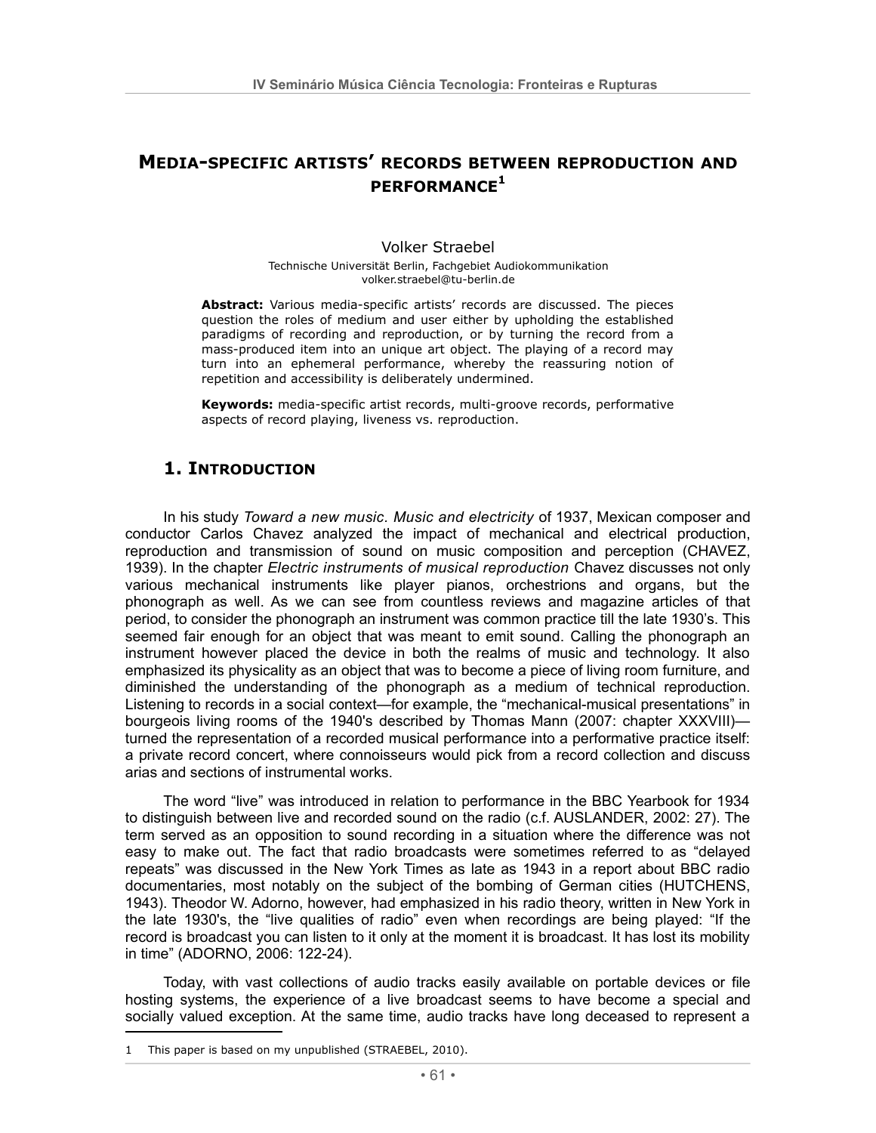# **MEDIA-SPECIFIC ARTISTS' RECORDS BETWEEN REPRODUCTION AND** PFRFORMANCF<sup>1</sup>

#### **Volker Straebel**

Technische Universität Berlin, Fachgebiet Audiokommunikation volker.straebel@tu-berlin.de

Abstract: Various media-specific artists' records are discussed. The pieces question the roles of medium and user either by upholding the established paradigms of recording and reproduction, or by turning the record from a mass-produced item into an unique art object. The playing of a record may turn into an ephemeral performance, whereby the reassuring notion of repetition and accessibility is deliberately undermined.

Keywords: media-specific artist records, multi-groove records, performative aspects of record playing, liveness vs. reproduction.

# 1. INTRODUCTION

In his study Toward a new music. Music and electricity of 1937, Mexican composer and conductor Carlos Chavez analyzed the impact of mechanical and electrical production, reproduction and transmission of sound on music composition and perception (CHAVEZ, 1939). In the chapter Electric instruments of musical reproduction Chavez discusses not only various mechanical instruments like player pianos, orchestrions and organs, but the phonograph as well. As we can see from countless reviews and magazine articles of that period, to consider the phonograph an instrument was common practice till the late 1930's. This seemed fair enough for an object that was meant to emit sound. Calling the phonograph an instrument however placed the device in both the realms of music and technology. It also emphasized its physicality as an object that was to become a piece of living room furniture, and diminished the understanding of the phonograph as a medium of technical reproduction. Listening to records in a social context—for example, the "mechanical-musical presentations" in bourgeois living rooms of the 1940's described by Thomas Mann (2007: chapter XXXVIII) turned the representation of a recorded musical performance into a performative practice itself: a private record concert, where connoisseurs would pick from a record collection and discuss arias and sections of instrumental works.

The word "live" was introduced in relation to performance in the BBC Yearbook for 1934 to distinguish between live and recorded sound on the radio (c.f. AUSLANDER, 2002: 27). The term served as an opposition to sound recording in a situation where the difference was not easy to make out. The fact that radio broadcasts were sometimes referred to as "delayed repeats" was discussed in the New York Times as late as 1943 in a report about BBC radio documentaries, most notably on the subject of the bombing of German cities (HUTCHENS, 1943). Theodor W. Adorno, however, had emphasized in his radio theory, written in New York in the late 1930's, the "live qualities of radio" even when recordings are being played: "If the record is broadcast you can listen to it only at the moment it is broadcast. It has lost its mobility in time" (ADORNO, 2006: 122-24).

Today, with vast collections of audio tracks easily available on portable devices or file hosting systems, the experience of a live broadcast seems to have become a special and socially valued exception. At the same time, audio tracks have long deceased to represent a

<sup>1</sup> This paper is based on my unpublished (STRAEBEL, 2010).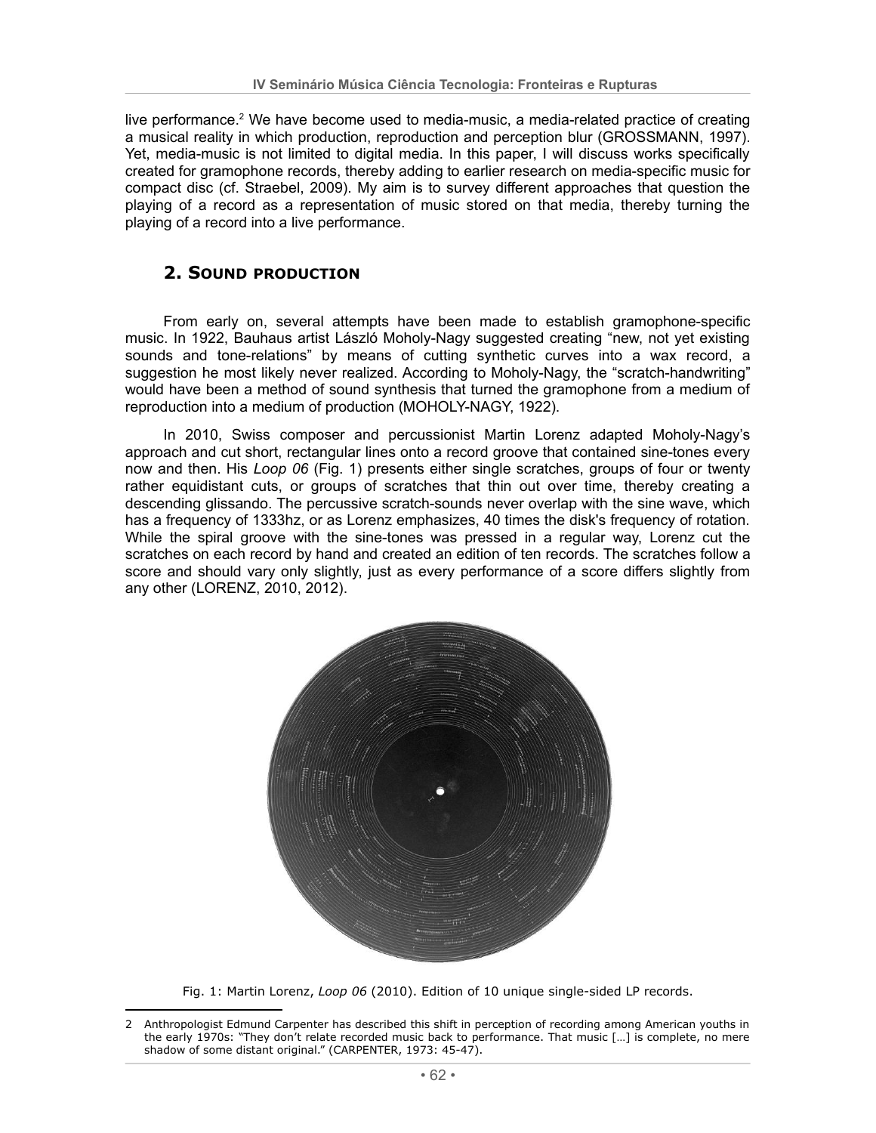live performance.<sup>2</sup> We have become used to media-music, a media-related practice of creating a musical reality in which production, reproduction and perception blur (GROSSMANN, 1997). Yet, media-music is not limited to digital media. In this paper, I will discuss works specifically created for gramophone records, thereby adding to earlier research on media-specific music for compact disc (cf. Straebel, 2009). My aim is to survey different approaches that question the playing of a record as a representation of music stored on that media, thereby turning the plaving of a record into a live performance.

## **2. SOUND PRODUCTION**

From early on, several attempts have been made to establish gramophone-specific music. In 1922, Bauhaus artist László Moholy-Nagy suggested creating "new, not yet existing sounds and tone-relations" by means of cutting synthetic curves into a wax record, a suggestion he most likely never realized. According to Moholy-Nagy, the "scratch-handwriting" would have been a method of sound synthesis that turned the gramophone from a medium of reproduction into a medium of production (MOHOLY-NAGY, 1922).

In 2010, Swiss composer and percussionist Martin Lorenz adapted Moholy-Nagy's approach and cut short, rectangular lines onto a record groove that contained sine-tones every now and then. His Loop 06 (Fig. 1) presents either single scratches, groups of four or twenty rather equidistant cuts, or groups of scratches that thin out over time, thereby creating a descending glissando. The percussive scratch-sounds never overlap with the sine wave, which has a frequency of 1333hz, or as Lorenz emphasizes, 40 times the disk's frequency of rotation. While the spiral groove with the sine-tones was pressed in a regular way, Lorenz cut the scratches on each record by hand and created an edition of ten records. The scratches follow a score and should vary only slightly, just as every performance of a score differs slightly from any other (LORENZ, 2010, 2012).



Fig. 1: Martin Lorenz, Loop 06 (2010). Edition of 10 unique single-sided LP records.

Anthropologist Edmund Carpenter has described this shift in perception of recording among American youths in  $\mathcal{P}$ the early 1970s: "They don't relate recorded music back to performance. That music [...] is complete, no mere shadow of some distant original." (CARPENTER, 1973: 45-47).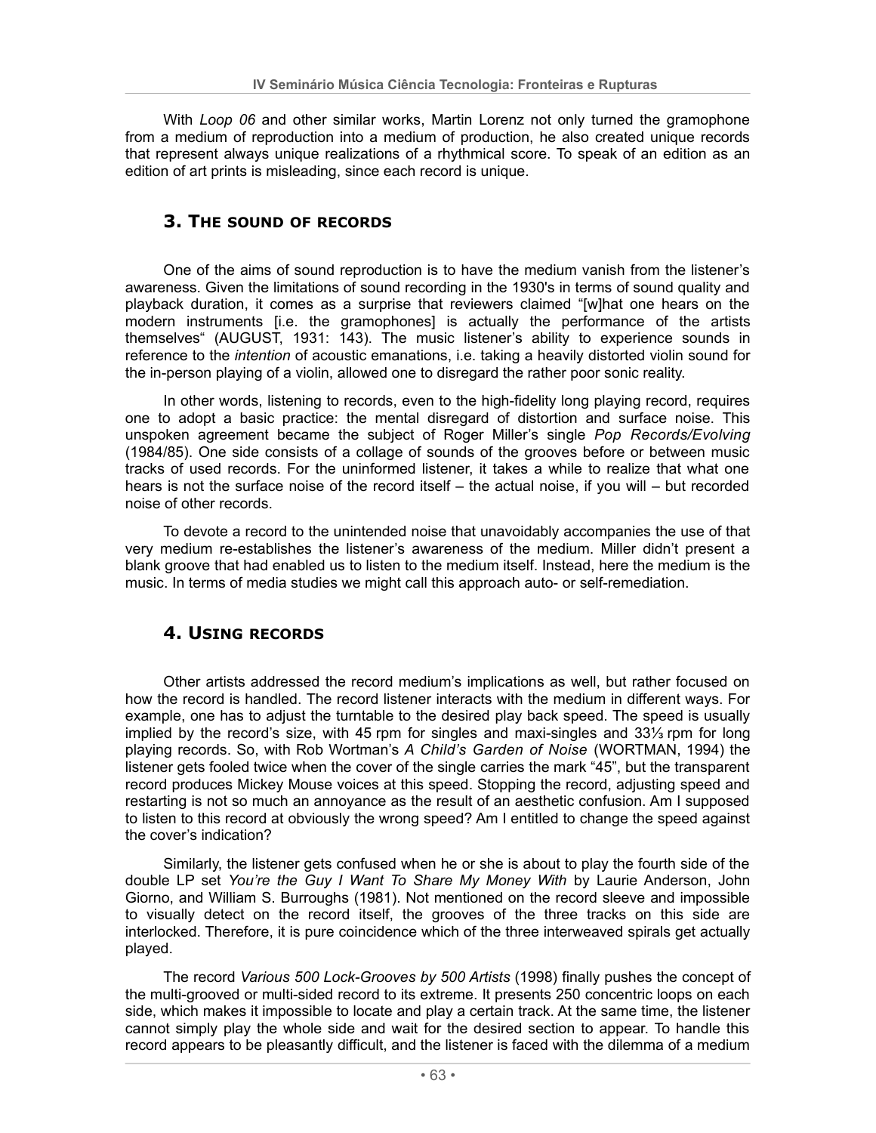With Loop 06 and other similar works. Martin Lorenz not only turned the gramophone from a medium of reproduction into a medium of production, he also created unique records that represent always unique realizations of a rhythmical score. To speak of an edition as an edition of art prints is misleading, since each record is unique.

#### 3. THE SOUND OF RECORDS

One of the aims of sound reproduction is to have the medium vanish from the listener's awareness. Given the limitations of sound recording in the 1930's in terms of sound quality and playback duration, it comes as a surprise that reviewers claimed "[w]hat one hears on the modern instruments [i.e. the gramophones] is actually the performance of the artists themselves" (AUGUST, 1931: 143). The music listener's ability to experience sounds in reference to the *intention* of acoustic emanations, i.e. taking a heavily distorted violin sound for the in-person playing of a violin, allowed one to disregard the rather poor sonic reality.

In other words, listening to records, even to the high-fidelity long playing record, requires one to adopt a basic practice: the mental disregard of distortion and surface noise. This unspoken agreement became the subject of Roger Miller's single Pop Records/Evolving (1984/85). One side consists of a collage of sounds of the grooves before or between music tracks of used records. For the uninformed listener, it takes a while to realize that what one hears is not the surface noise of the record itself  $-$  the actual noise, if you will  $-$  but recorded noise of other records.

To devote a record to the unintended noise that unavoidably accompanies the use of that very medium re-establishes the listener's awareness of the medium. Miller didn't present a blank groove that had enabled us to listen to the medium itself. Instead, here the medium is the music. In terms of media studies we might call this approach auto- or self-remediation.

### **4. USING RECORDS**

Other artists addressed the record medium's implications as well, but rather focused on how the record is handled. The record listener interacts with the medium in different ways. For example, one has to adjust the turntable to the desired play back speed. The speed is usually implied by the record's size, with 45 rpm for singles and maxi-singles and 331/<sub>3</sub> rpm for long playing records. So, with Rob Wortman's A Child's Garden of Noise (WORTMAN, 1994) the listener gets fooled twice when the cover of the single carries the mark "45", but the transparent record produces Mickey Mouse voices at this speed. Stopping the record, adjusting speed and restarting is not so much an annoyance as the result of an aesthetic confusion. Am I supposed to listen to this record at obviously the wrong speed? Am I entitled to change the speed against the cover's indication?

Similarly, the listener gets confused when he or she is about to play the fourth side of the double LP set You're the Guy I Want To Share My Money With by Laurie Anderson, John Giorno, and William S. Burroughs (1981). Not mentioned on the record sleeve and impossible to visually detect on the record itself, the grooves of the three tracks on this side are interlocked. Therefore, it is pure coincidence which of the three interweaved spirals get actually played.

The record Various 500 Lock-Grooves by 500 Artists (1998) finally pushes the concept of the multi-grooved or multi-sided record to its extreme. It presents 250 concentric loops on each side, which makes it impossible to locate and play a certain track. At the same time, the listener cannot simply play the whole side and wait for the desired section to appear. To handle this record appears to be pleasantly difficult, and the listener is faced with the dilemma of a medium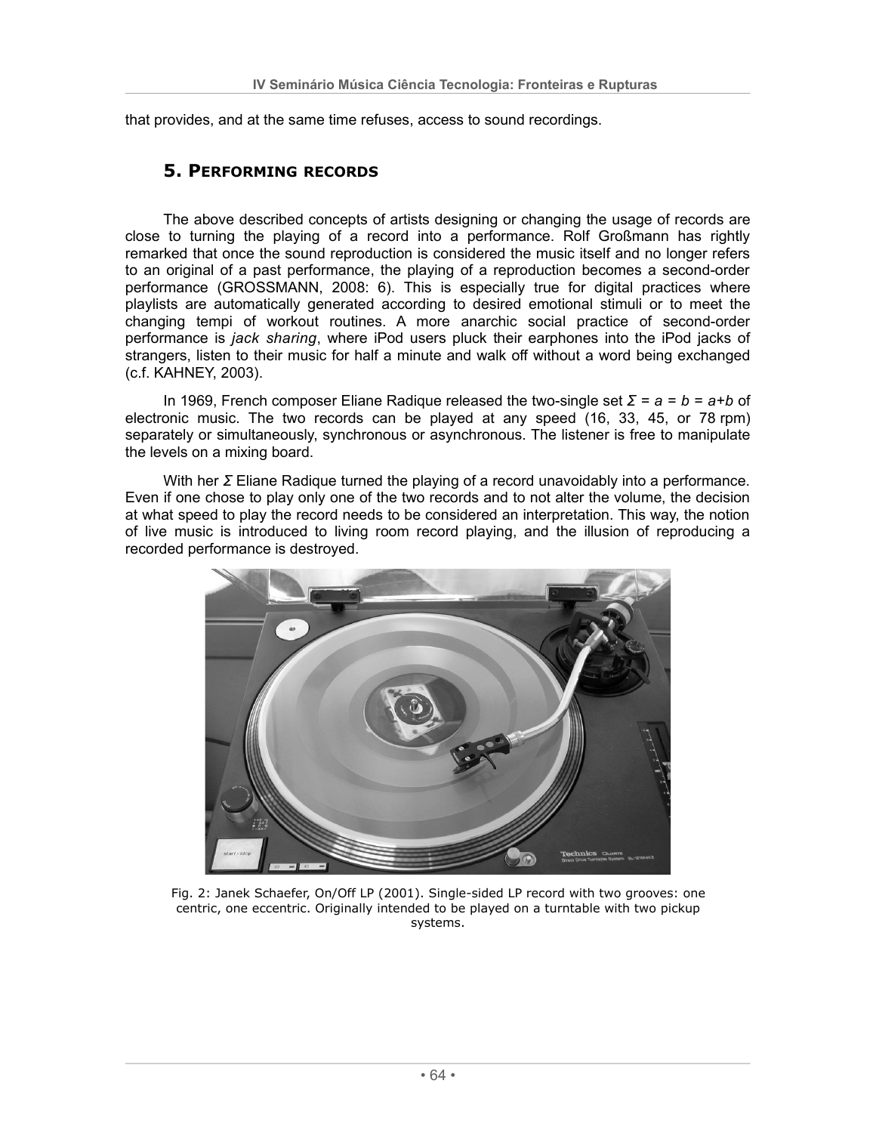that provides, and at the same time refuses, access to sound recordings.

#### **5. PERFORMING RECORDS**

The above described concepts of artists designing or changing the usage of records are close to turning the playing of a record into a performance. Rolf Großmann has rightly remarked that once the sound reproduction is considered the music itself and no longer refers to an original of a past performance, the playing of a reproduction becomes a second-order performance (GROSSMANN, 2008: 6). This is especially true for digital practices where playlists are automatically generated according to desired emotional stimuli or to meet the changing tempi of workout routines. A more anarchic social practice of second-order performance is jack sharing, where iPod users pluck their earphones into the iPod jacks of strangers, listen to their music for half a minute and walk off without a word being exchanged (c.f. KAHNEY, 2003).

In 1969, French composer Eliane Radique released the two-single set  $\Sigma = a = b = a + b$  of electronic music. The two records can be played at any speed (16, 33, 45, or 78 rpm) separately or simultaneously, synchronous or asynchronous. The listener is free to manipulate the levels on a mixing board.

With her  $\Sigma$  Eliane Radique turned the playing of a record unavoidably into a performance. Even if one chose to play only one of the two records and to not alter the volume, the decision at what speed to play the record needs to be considered an interpretation. This way, the notion of live music is introduced to living room record playing, and the illusion of reproducing a recorded performance is destroyed.



Fig. 2: Janek Schaefer, On/Off LP (2001). Single-sided LP record with two grooves: one centric, one eccentric. Originally intended to be played on a turntable with two pickup systems.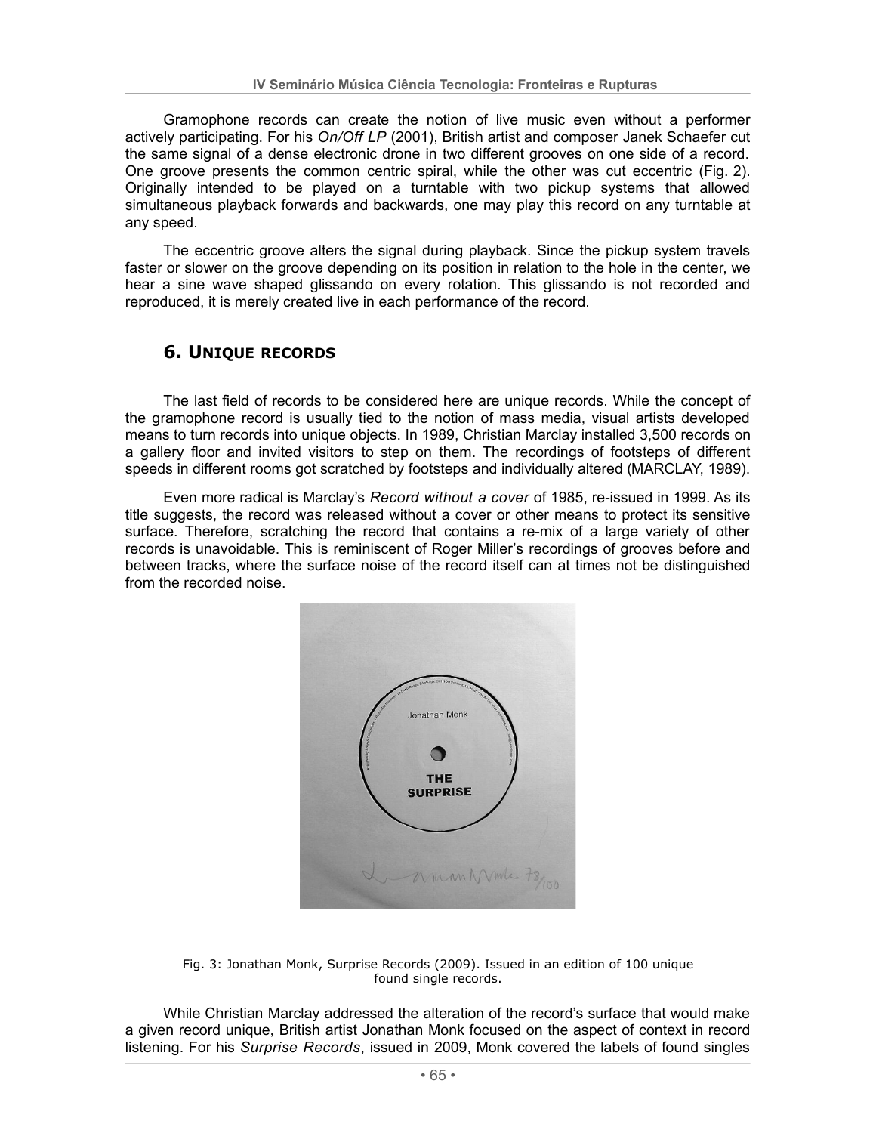Gramophone records can create the notion of live music even without a performer actively participating. For his On/Off LP (2001), British artist and composer Janek Schaefer cut the same signal of a dense electronic drone in two different grooves on one side of a record. One groove presents the common centric spiral, while the other was cut eccentric (Fig. 2). Originally intended to be played on a turntable with two pickup systems that allowed simultaneous playback forwards and backwards, one may play this record on any turntable at any speed.

The eccentric groove alters the signal during playback. Since the pickup system travels faster or slower on the groove depending on its position in relation to the hole in the center, we hear a sine wave shaped glissando on every rotation. This glissando is not recorded and reproduced, it is merely created live in each performance of the record.

# **6. UNIQUE RECORDS**

The last field of records to be considered here are unique records. While the concept of the gramophone record is usually tied to the notion of mass media, visual artists developed means to turn records into unique objects. In 1989, Christian Marclay installed 3,500 records on a gallery floor and invited visitors to step on them. The recordings of footsteps of different speeds in different rooms got scratched by footsteps and individually altered (MARCLAY, 1989).

Even more radical is Marclay's Record without a cover of 1985, re-issued in 1999. As its title suggests, the record was released without a cover or other means to protect its sensitive surface. Therefore, scratching the record that contains a re-mix of a large variety of other records is unavoidable. This is reminiscent of Roger Miller's recordings of grooves before and between tracks, where the surface noise of the record itself can at times not be distinguished from the recorded noise.



Fig. 3: Jonathan Monk, Surprise Records (2009). Issued in an edition of 100 unique found single records.

While Christian Marclay addressed the alteration of the record's surface that would make a given record unique, British artist Jonathan Monk focused on the aspect of context in record listening. For his Surprise Records, issued in 2009, Monk covered the labels of found singles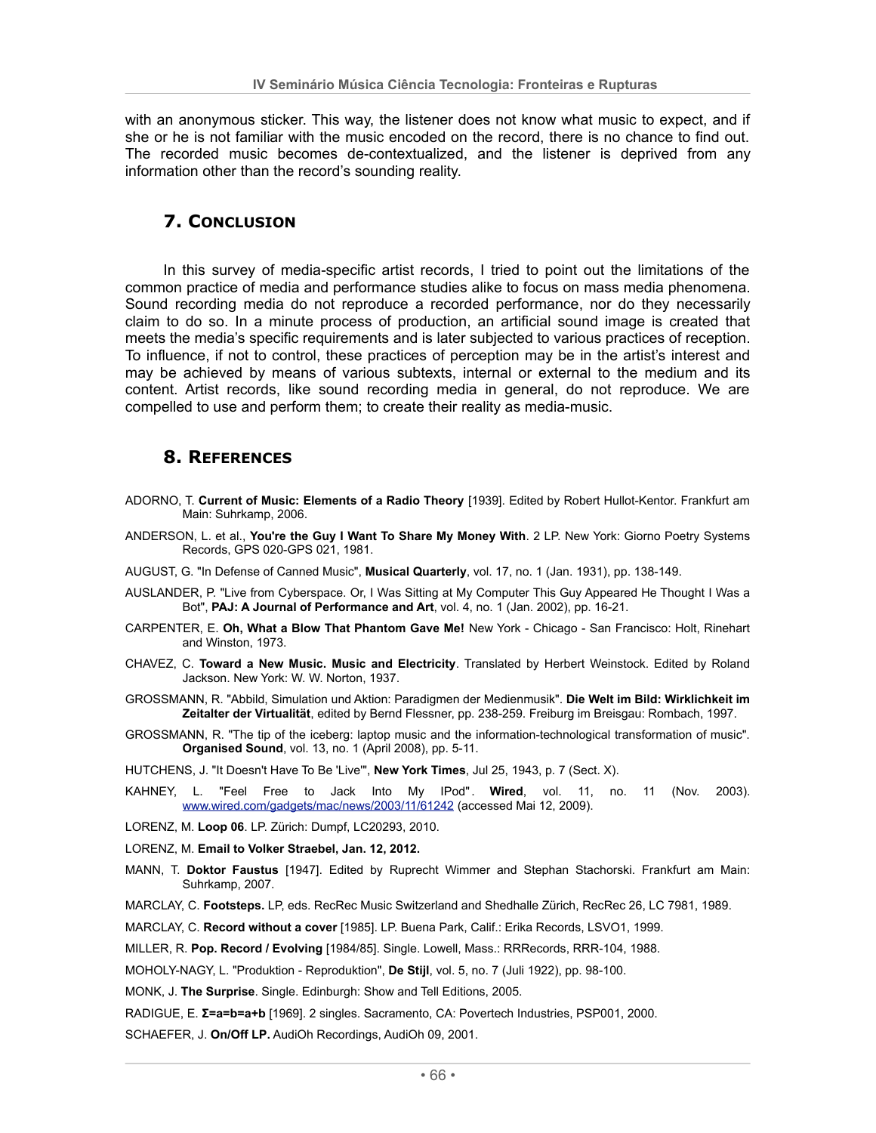with an anonymous sticker. This way, the listener does not know what music to expect, and if she or he is not familiar with the music encoded on the record, there is no chance to find out. The recorded music becomes de-contextualized, and the listener is deprived from any information other than the record's sounding reality.

## **7. CONCLUSION**

In this survey of media-specific artist records, I tried to point out the limitations of the common practice of media and performance studies alike to focus on mass media phenomena. Sound recording media do not reproduce a recorded performance, nor do they necessarily claim to do so. In a minute process of production, an artificial sound image is created that meets the media's specific requirements and is later subjected to various practices of reception. To influence, if not to control, these practices of perception may be in the artist's interest and may be achieved by means of various subtexts, internal or external to the medium and its content. Artist records, like sound recording media in general, do not reproduce. We are compelled to use and perform them; to create their reality as media-music.

### **8. REFERENCES**

- ADORNO, T. Current of Music: Elements of a Radio Theory [1939]. Edited by Robert Hullot-Kentor. Frankfurt am Main: Suhrkamp, 2006.
- ANDERSON, L. et al., You're the Guy I Want To Share My Money With. 2 LP. New York: Giorno Poetry Systems Records, GPS 020-GPS 021, 1981.
- AUGUST, G. "In Defense of Canned Music", Musical Quarterly, vol. 17, no. 1 (Jan. 1931), pp. 138-149.
- AUSLANDER, P. "Live from Cyberspace. Or, I Was Sitting at My Computer This Guy Appeared He Thought I Was a Bot", PAJ: A Journal of Performance and Art, vol. 4, no. 1 (Jan. 2002), pp. 16-21.
- CARPENTER, E. Oh, What a Blow That Phantom Gave Me! New York Chicago San Francisco: Holt, Rinehart and Winston, 1973.
- CHAVEZ, C. Toward a New Music. Music and Electricity. Translated by Herbert Weinstock. Edited by Roland Jackson. New York: W. W. Norton, 1937.
- GROSSMANN, R. "Abbild, Simulation und Aktion: Paradigmen der Medienmusik". Die Welt im Bild: Wirklichkeit im Zeitalter der Virtualität, edited by Bernd Flessner, pp. 238-259. Freiburg im Breisgau: Rombach, 1997.
- GROSSMANN, R. "The tip of the iceberg: laptop music and the information-technological transformation of music". Organised Sound, vol. 13, no. 1 (April 2008), pp. 5-11.
- HUTCHENS, J. "It Doesn't Have To Be 'Live"', New York Times, Jul 25, 1943, p. 7 (Sect. X).
- KAHNEY, L. "Feel Free to Jack Into My IPod". Wired, vol. 11, no. 11 (Nov. 2003). www.wired.com/gadgets/mac/news/2003/11/61242 (accessed Mai 12, 2009).
- LORENZ, M. Loop 06. LP. Zürich: Dumpf, LC20293, 2010.
- LORENZ, M. Email to Volker Straebel, Jan. 12, 2012.
- MANN, T. Doktor Faustus [1947]. Edited by Ruprecht Wimmer and Stephan Stachorski. Frankfurt am Main: Suhrkamp. 2007.
- MARCLAY, C. Footsteps. LP, eds. RecRec Music Switzerland and Shedhalle Zürich, RecRec 26, LC 7981, 1989.
- MARCLAY, C. Record without a cover [1985]. LP. Buena Park, Calif.: Erika Records, LSVO1, 1999.
- MILLER, R. Pop. Record / Evolving [1984/85]. Single. Lowell, Mass.: RRRecords, RRR-104, 1988.
- MOHOLY-NAGY, L. "Produktion Reproduktion", De Stijl, vol. 5, no. 7 (Juli 1922), pp. 98-100.
- MONK, J. The Surprise. Single. Edinburgh: Show and Tell Editions, 2005.
- RADIGUE, E. E=a=b=a+b [1969]. 2 singles. Sacramento, CA: Povertech Industries, PSP001, 2000.
- SCHAEFER, J. On/Off LP. AudiOh Recordings, AudiOh 09, 2001.